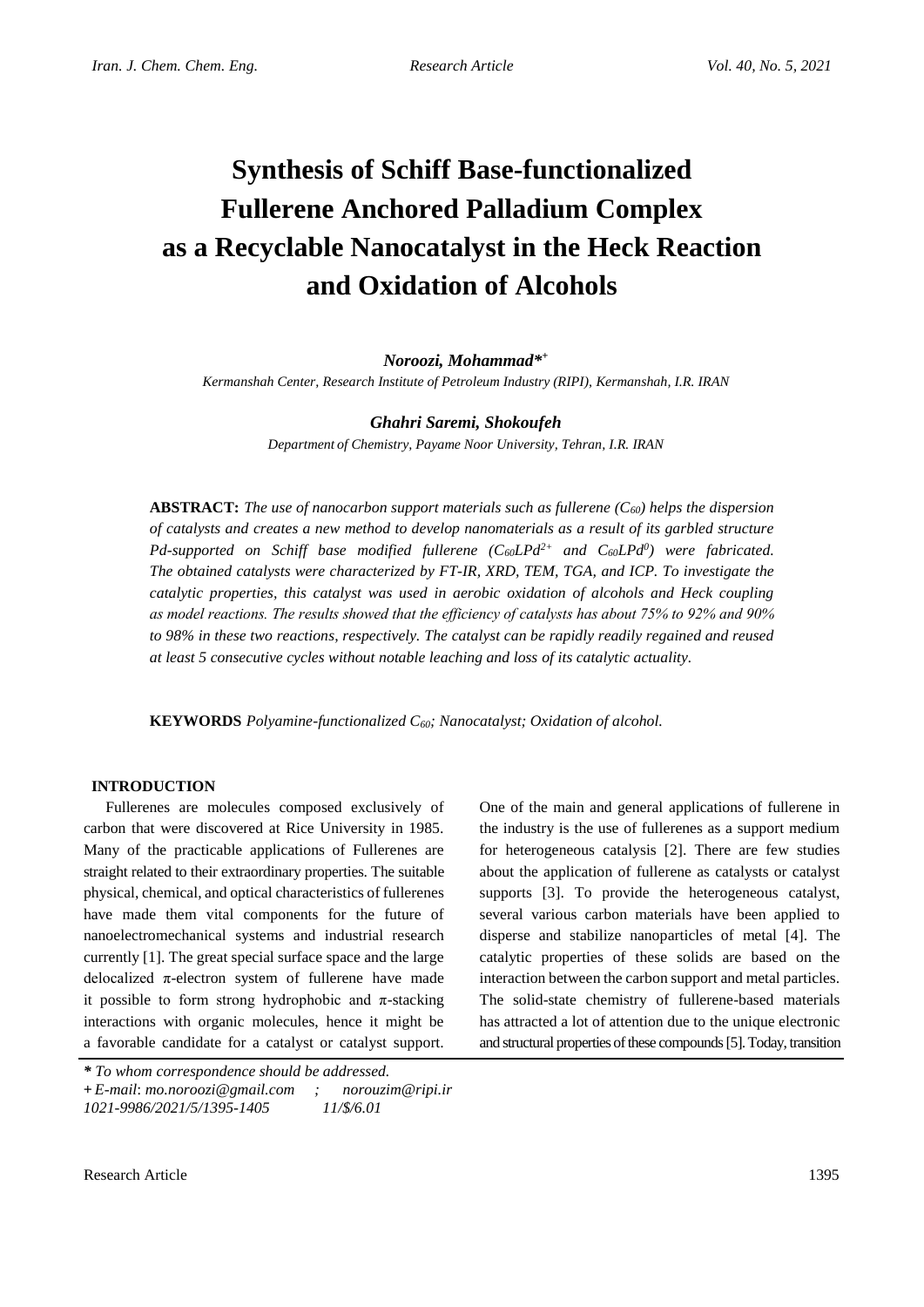# **Synthesis of Schiff Base-functionalized Fullerene Anchored Palladium Complex as a Recyclable Nanocatalyst in the Heck Reaction and Oxidation of Alcohols**

# *Noroozi, Mohammad\* +*

*Kermanshah Center, Research Institute of Petroleum Industry (RIPI), Kermanshah, I.R. IRAN*

#### *Ghahri Saremi, Shokoufeh*

*Department of Chemistry, Payame Noor University, Tehran, I.R. IRAN*

**ABSTRACT:** *The use of nanocarbon support materials such as fullerene (C60) helps the dispersion of catalysts and creates a new method to develop nanomaterials as a result of its garbled structure Pd-supported on Schiff base modified fullerene (C60LPd2+ and C60LPd<sup>0</sup> ) were fabricated. The obtained catalysts were characterized by FT-IR, XRD, TEM, TGA, and ICP. To investigate the catalytic properties, this catalyst was used in aerobic oxidation of alcohols and Heck coupling as model reactions. The results showed that the efficiency of catalysts has about 75% to 92% and 90% to 98% in these two reactions, respectively. The catalyst can be rapidly readily regained and reused at least 5 consecutive cycles without notable leaching and loss of its catalytic actuality.*

**KEYWORDS** *Polyamine-functionalized C60; Nanocatalyst; Oxidation of alcohol.*

## **INTRODUCTION**

Fullerenes are molecules composed exclusively of carbon that were discovered at Rice University in 1985. Many of the practicable applications of Fullerenes are straight related to their extraordinary properties. The suitable physical, chemical, and optical characteristics of fullerenes have made them vital components for the future of nanoelectromechanical systems and industrial research currently [1]. The great special surface space and the large delocalized  $\pi$ -electron system of fullerene have made it possible to form strong hydrophobic and  $\pi$ -stacking interactions with organic molecules, hence it might be a favorable candidate for a catalyst or catalyst support.

the industry is the use of fullerenes as a support medium for heterogeneous catalysis [2]. There are few studies about the application of fullerene as catalysts or catalyst supports [3]. To provide the heterogeneous catalyst, several various carbon materials have been applied to disperse and stabilize nanoparticles of metal [4]. The catalytic properties of these solids are based on the interaction between the carbon support and metal particles. The solid-state chemistry of fullerene-based materials has attracted a lot of attention due to the unique electronic and structural properties of these compounds [5]. Today, transition

One of the main and general applications of fullerene in

*<sup>\*</sup> To whom correspondence should be addressed.* **+** *E-mail*: *mo.noroozi@gmail.com ; norouzim@ripi.ir 1021-9986/2021/5/1395-1405 11/\$/6.01*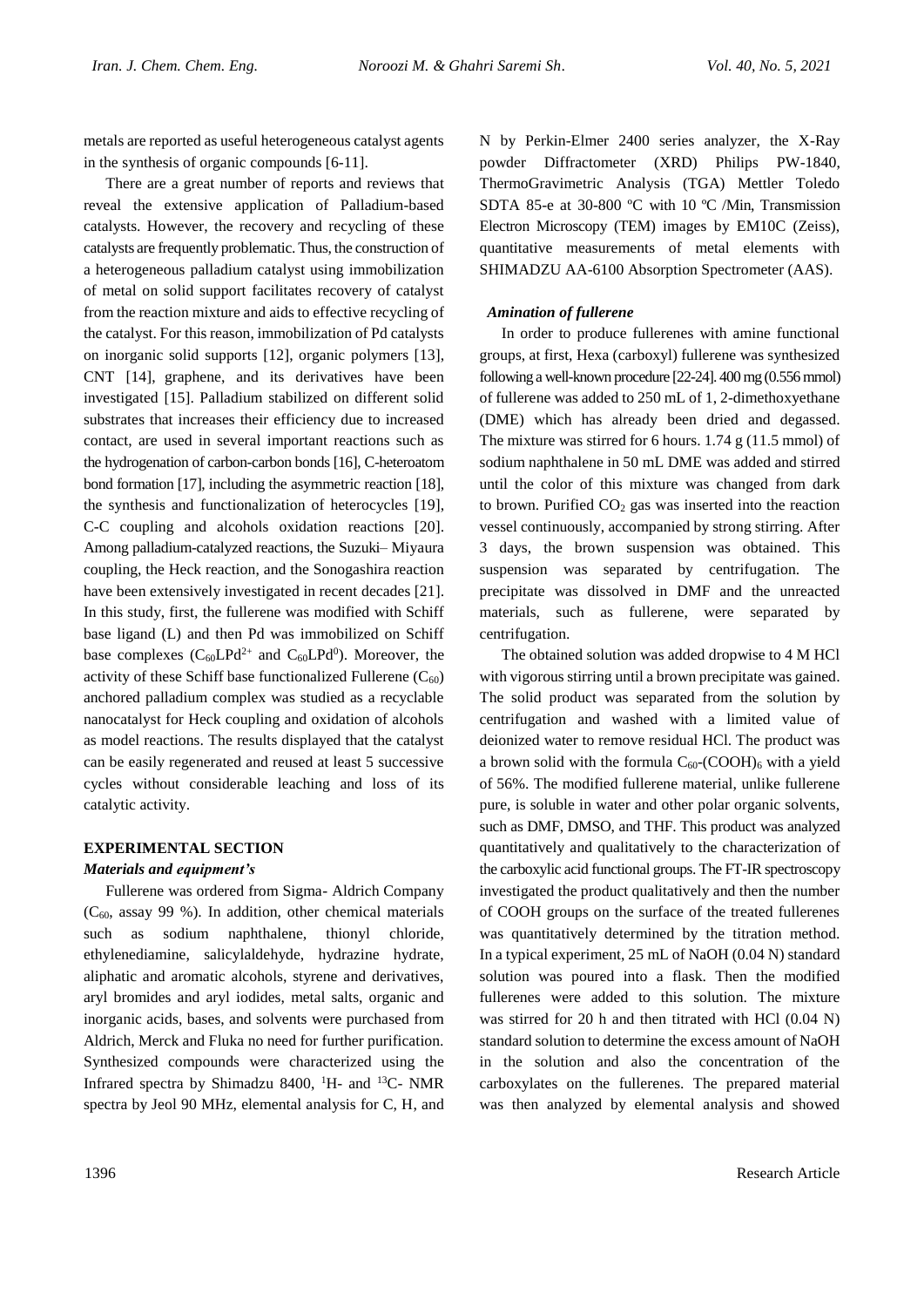metals are reported as useful heterogeneous catalyst agents in the synthesis of organic compounds [6-11].

There are a great number of reports and reviews that reveal the extensive application of Palladium-based catalysts. However, the recovery and recycling of these catalysts are frequently problematic. Thus, the construction of a heterogeneous palladium catalyst using immobilization of metal on solid support facilitates recovery of catalyst from the reaction mixture and aids to effective recycling of the catalyst. For this reason, immobilization of Pd catalysts on inorganic solid supports [12], organic polymers [13], CNT [14], graphene, and its derivatives have been investigated [15]. Palladium stabilized on different solid substrates that increases their efficiency due to increased contact, are used in several important reactions such as the hydrogenation of carbon-carbon bonds [16], C-heteroatom bond formation [17], including the asymmetric reaction [18], the synthesis and functionalization of heterocycles [19], C-C coupling and alcohols oxidation reactions [20]. Among palladium-catalyzed reactions, the Suzuki– Miyaura coupling, the Heck reaction, and the Sonogashira reaction have been extensively investigated in recent decades [21]. In this study, first, the fullerene was modified with Schiff base ligand (L) and then Pd was immobilized on Schiff base complexes  $(C_{60}LPd^{2+}$  and  $C_{60}LPd^{0})$ . Moreover, the activity of these Schiff base functionalized Fullerene  $(C_{60})$ anchored palladium complex was studied as a recyclable nanocatalyst for Heck coupling and oxidation of alcohols as model reactions. The results displayed that the catalyst can be easily regenerated and reused at least 5 successive cycles without considerable leaching and loss of its catalytic activity.

# **EXPERIMENTAL SECTION**

## *Materials and equipment's*

Fullerene was ordered from Sigma- Aldrich Company  $(C_{60}$ , assay 99 %). In addition, other chemical materials such as sodium naphthalene, thionyl chloride, ethylenediamine, salicylaldehyde, hydrazine hydrate, aliphatic and aromatic alcohols, styrene and derivatives, aryl bromides and aryl iodides, metal salts, organic and inorganic acids, bases, and solvents were purchased from Aldrich, Merck and Fluka no need for further purification. Synthesized compounds were characterized using the Infrared spectra by Shimadzu 8400,  $^1$ H- and  $^{13}$ C- NMR spectra by Jeol 90 MHz, elemental analysis for C, H, and

N by Perkin-Elmer 2400 series analyzer, the X-Ray powder Diffractometer (XRD) Philips PW-1840, ThermoGravimetric Analysis (TGA) Mettler Toledo SDTA 85-e at 30-800 ºC with 10 ºC /Min, Transmission Electron Microscopy (TEM) images by EM10C (Zeiss), quantitative measurements of metal elements with SHIMADZU AA-6100 Absorption Spectrometer (AAS).

# *Amination of fullerene*

In order to produce fullerenes with amine functional groups, at first, Hexa (carboxyl) fullerene was synthesized following a well-known procedure [22-24]. 400 mg (0.556 mmol) of fullerene was added to 250 mL of 1, 2-dimethoxyethane (DME) which has already been dried and degassed. The mixture was stirred for 6 hours. 1.74 g (11.5 mmol) of sodium naphthalene in 50 mL DME was added and stirred until the color of this mixture was changed from dark to brown. Purified  $CO<sub>2</sub>$  gas was inserted into the reaction vessel continuously, accompanied by strong stirring. After 3 days, the brown suspension was obtained. This suspension was separated by centrifugation. The precipitate was dissolved in DMF and the unreacted materials, such as fullerene, were separated by centrifugation.

The obtained solution was added dropwise to 4 M HCl with vigorous stirring until a brown precipitate was gained. The solid product was separated from the solution by centrifugation and washed with a limited value of deionized water to remove residual HCl. The product was a brown solid with the formula  $C_{60}$ -(COOH)<sub>6</sub> with a yield of 56%. The modified fullerene material, unlike fullerene pure, is soluble in water and other polar organic solvents, such as DMF, DMSO, and THF. This product was analyzed quantitatively and qualitatively to the characterization of the carboxylic acid functional groups. The FT-IR spectroscopy investigated the product qualitatively and then the number of COOH groups on the surface of the treated fullerenes was quantitatively determined by the titration method. In a typical experiment, 25 mL of NaOH (0.04 N) standard solution was poured into a flask. Then the modified fullerenes were added to this solution. The mixture was stirred for 20 h and then titrated with HCl (0.04 N) standard solution to determine the excess amount of NaOH in the solution and also the concentration of the carboxylates on the fullerenes. The prepared material was then analyzed by elemental analysis and showed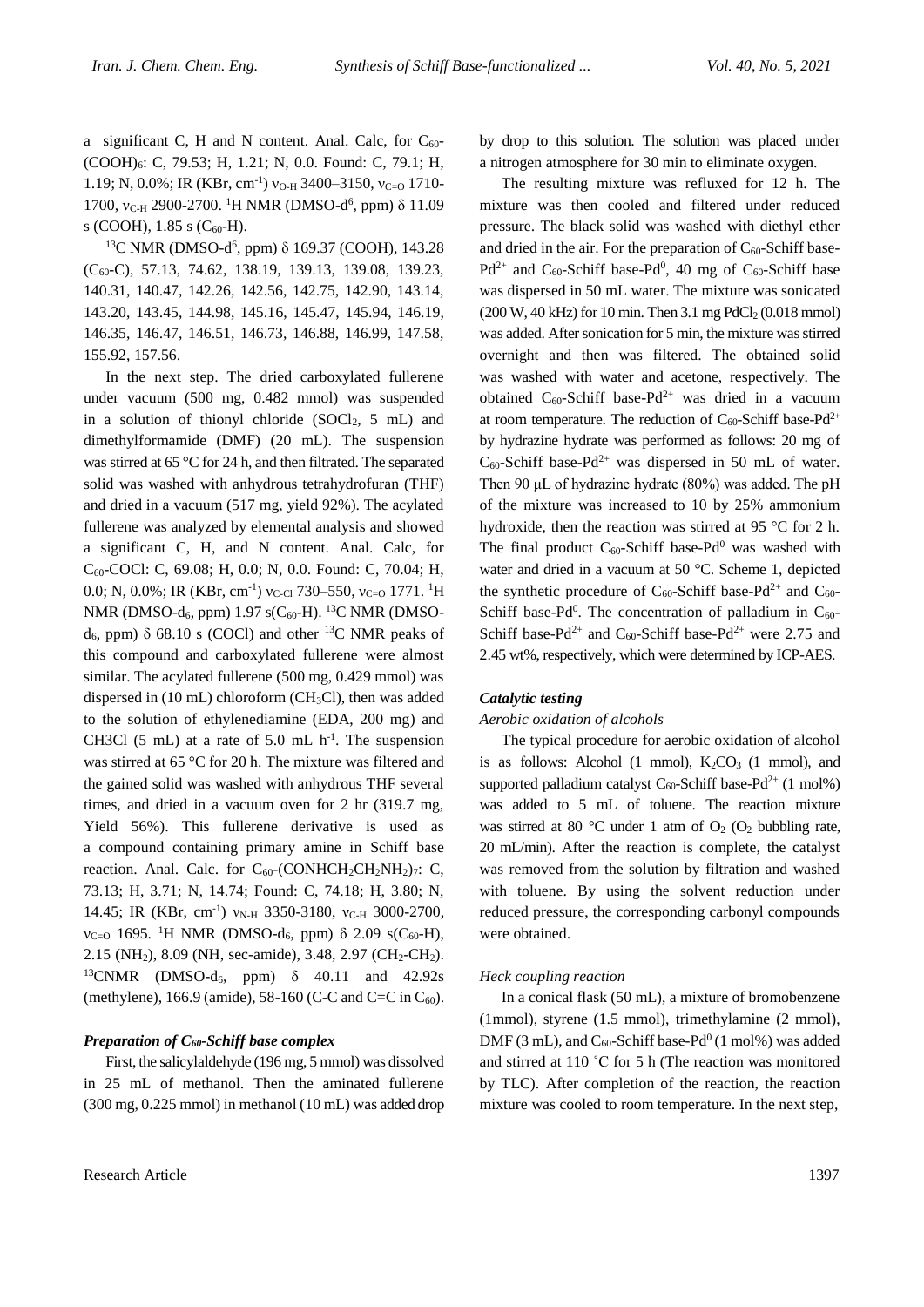a significant C, H and N content. Anal. Calc, for  $C_{60}$ -(COOH)6: C, 79.53; H, 1.21; N, 0.0. Found: C, 79.1; H, 1.19; N, 0.0%; IR (KBr, cm<sup>-1</sup>) ν<sub>Ο-Η</sub> 3400-3150, ν<sub>C=Ο</sub> 1710-1700, ν<sub>C-H</sub> 2900-2700. <sup>1</sup>H NMR (DMSO-d<sup>6</sup>, ppm) δ 11.09 s (COOH), 1.85 s (C<sub>60</sub>-H).

<sup>13</sup>C NMR (DMSO-d<sup>6</sup>, ppm) δ 169.37 (COOH), 143.28 (C60-C), 57.13, 74.62, 138.19, 139.13, 139.08, 139.23, 140.31, 140.47, 142.26, 142.56, 142.75, 142.90, 143.14, 143.20, 143.45, 144.98, 145.16, 145.47, 145.94, 146.19, 146.35, 146.47, 146.51, 146.73, 146.88, 146.99, 147.58, 155.92, 157.56.

In the next step. The dried carboxylated fullerene under vacuum (500 mg, 0.482 mmol) was suspended in a solution of thionyl chloride  $(SOCl<sub>2</sub>, 5 mL)$  and dimethylformamide (DMF) (20 mL). The suspension was stirred at 65 °C for 24 h, and then filtrated. The separated solid was washed with anhydrous tetrahydrofuran (THF) and dried in a vacuum (517 mg, yield 92%). The acylated fullerene was analyzed by elemental analysis and showed a significant C, H, and N content. Anal. Calc, for C60-COCl: C, 69.08; H, 0.0; N, 0.0. Found: C, 70.04; H, 0.0; N, 0.0%; IR (KBr, cm<sup>-1</sup>)  $v_{C-C1}$  730–550,  $v_{C=0}$  1771. <sup>1</sup>H NMR (DMSO-d<sub>6</sub>, ppm) 1.97 s( $C_{60}$ -H). <sup>13</sup>C NMR (DMSO $d_6$ , ppm) δ 68.10 s (COCl) and other <sup>13</sup>C NMR peaks of this compound and carboxylated fullerene were almost similar. The acylated fullerene (500 mg, 0.429 mmol) was dispersed in  $(10 \text{ mL})$  chloroform  $(CH_3Cl)$ , then was added to the solution of ethylenediamine (EDA, 200 mg) and CH3Cl  $(5 \text{ mL})$  at a rate of  $5.0 \text{ mL} \text{ h}^{-1}$ . The suspension was stirred at 65 °C for 20 h. The mixture was filtered and the gained solid was washed with anhydrous THF several times, and dried in a vacuum oven for 2 hr (319.7 mg, Yield 56%). This fullerene derivative is used as a compound containing primary amine in Schiff base reaction. Anal. Calc. for  $C_{60}$ -(CONHCH<sub>2</sub>CH<sub>2</sub>NH<sub>2</sub>)<sub>7</sub>: C, 73.13; H, 3.71; N, 14.74; Found: C, 74.18; H, 3.80; N, 14.45; IR (KBr, cm<sup>-1</sup>) ν<sub>N-H</sub> 3350-3180, ν<sub>C-H</sub> 3000-2700,  $v_{C=O}$  1695. <sup>1</sup>H NMR (DMSO-d<sub>6</sub>, ppm) δ 2.09 s(C<sub>60</sub>-H), 2.15 (NH<sub>2</sub>), 8.09 (NH, sec-amide), 3.48, 2.97 (CH<sub>2</sub>-CH<sub>2</sub>). <sup>13</sup>CNMR (DMSO-d<sub>6</sub>, ppm)  $\delta$  40.11 and 42.92s (methylene), 166.9 (amide), 58-160 (C-C and C=C in  $C_{60}$ ).

## *Preparation of C60-Schiff base complex*

First, the salicylaldehyde (196 mg, 5 mmol) was dissolved in 25 mL of methanol. Then the aminated fullerene (300 mg, 0.225 mmol) in methanol (10 mL) was added drop by drop to this solution. The solution was placed under a nitrogen atmosphere for 30 min to eliminate oxygen.

The resulting mixture was refluxed for 12 h. The mixture was then cooled and filtered under reduced pressure. The black solid was washed with diethyl ether and dried in the air. For the preparation of  $C_{60}$ -Schiff base- $Pd^{2+}$  and  $C_{60}$ -Schiff base- $Pd^{0}$ , 40 mg of  $C_{60}$ -Schiff base was dispersed in 50 mL water*.* The mixture was sonicated  $(200 W, 40 kHz)$  for 10 min. Then 3.1 mg PdCl<sub>2</sub>  $(0.018$  mmol) was added. After sonication for 5 min, the mixture was stirred overnight and then was filtered. The obtained solid was washed with water and acetone, respectively. The obtained  $C_{60}$ -Schiff base-Pd<sup>2+</sup> was dried in a vacuum at room temperature. The reduction of  $C_{60}$ -Schiff base-Pd<sup>2+</sup> by hydrazine hydrate was performed as follows: 20 mg of  $C_{60}$ -Schiff base-Pd<sup>2+</sup> was dispersed in 50 mL of water. Then 90 μL of hydrazine hydrate (80%) was added. The pH of the mixture was increased to 10 by 25% ammonium hydroxide, then the reaction was stirred at 95 °C for 2 h. The final product  $C_{60}$ -Schiff base-Pd<sup>0</sup> was washed with water and dried in a vacuum at 50 °C. Scheme 1, depicted the synthetic procedure of  $C_{60}$ -Schiff base-Pd<sup>2+</sup> and  $C_{60}$ -Schiff base-Pd<sup>0</sup>. The concentration of palladium in  $C_{60}$ -Schiff base-Pd<sup>2+</sup> and C<sub>60</sub>-Schiff base-Pd<sup>2+</sup> were 2.75 and 2.45 wt%, respectively, which were determined by ICP-AES.

#### *Catalytic testing*

#### *Aerobic oxidation of alcohols*

The typical procedure for aerobic oxidation of alcohol is as follows: Alcohol (1 mmol),  $K_2CO_3$  (1 mmol), and supported palladium catalyst  $C_{60}$ -Schiff base-Pd<sup>2+</sup> (1 mol%) was added to 5 mL of toluene. The reaction mixture was stirred at 80 °C under 1 atm of  $O_2$  ( $O_2$  bubbling rate, 20 mL/min). After the reaction is complete, the catalyst was removed from the solution by filtration and washed with toluene. By using the solvent reduction under reduced pressure, the corresponding carbonyl compounds were obtained.

#### *Heck coupling reaction*

In a conical flask (50 mL), a mixture of bromobenzene (1mmol), styrene (1.5 mmol), trimethylamine (2 mmol), DMF (3 mL), and  $C_{60}$ -Schiff base-Pd<sup>0</sup> (1 mol%) was added and stirred at 110 ˚C for 5 h (The reaction was monitored by TLC). After completion of the reaction, the reaction mixture was cooled to room temperature. In the next step,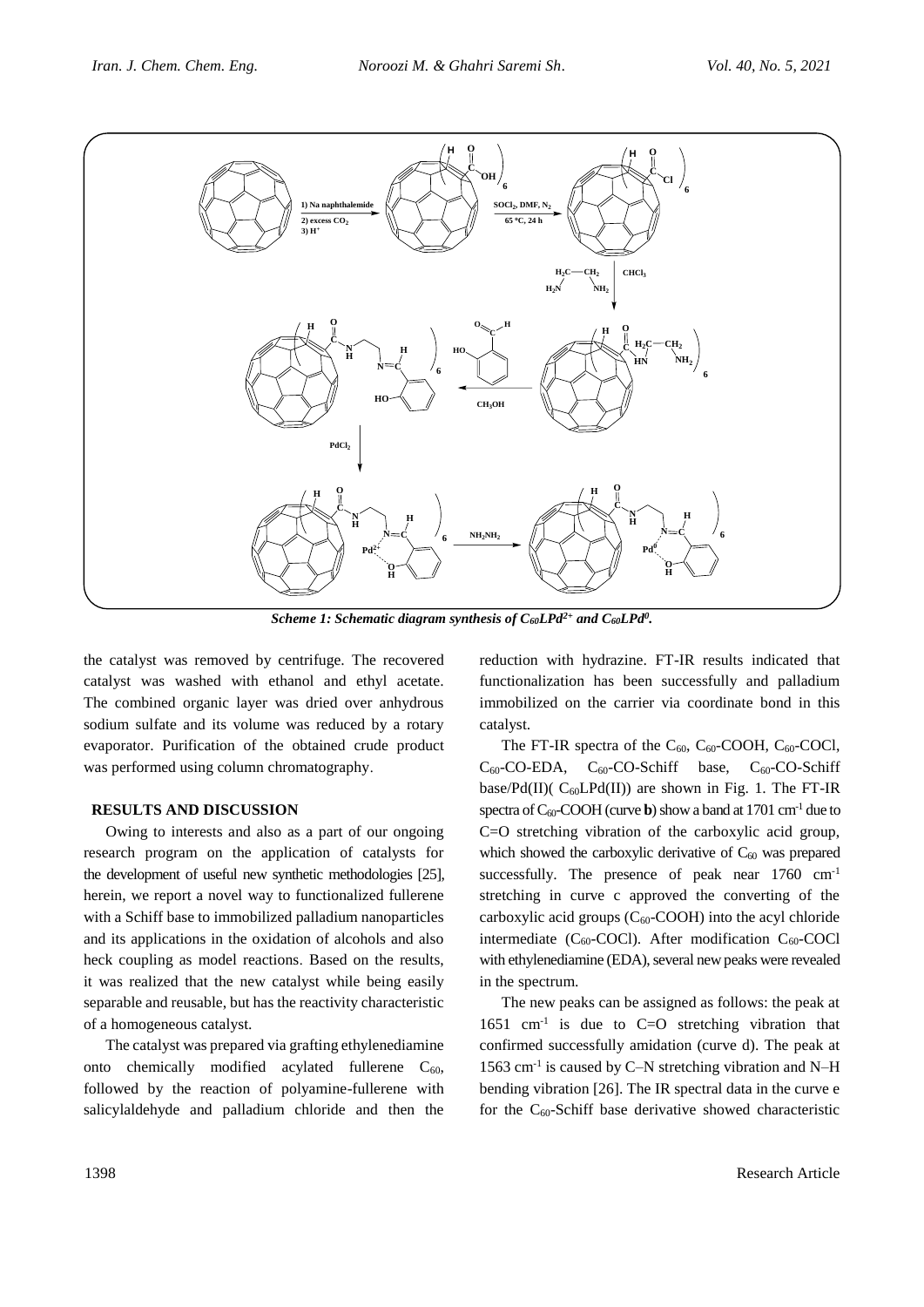

*Scheme 1: Schematic diagram synthesis of C60LPd2+ and C60LPd<sup>0</sup> .*

the catalyst was removed by centrifuge. The recovered catalyst was washed with ethanol and ethyl acetate. The combined organic layer was dried over anhydrous sodium sulfate and its volume was reduced by a rotary evaporator. Purification of the obtained crude product was performed using column chromatography*.*

#### **RESULTS AND DISCUSSION**

Owing to interests and also as a part of our ongoing research program on the application of catalysts for the development of useful new synthetic methodologies [25], herein, we report a novel way to functionalized fullerene with a Schiff base to immobilized palladium nanoparticles and its applications in the oxidation of alcohols and also heck coupling as model reactions*.* Based on the results, it was realized that the new catalyst while being easily separable and reusable, but has the reactivity characteristic of a homogeneous catalyst.

The catalyst was prepared via grafting ethylenediamine onto chemically modified acylated fullerene  $C_{60}$ , followed by the reaction of polyamine-fullerene with salicylaldehyde and palladium chloride and then the reduction with hydrazine. FT-IR results indicated that functionalization has been successfully and palladium immobilized on the carrier via coordinate bond in this catalyst.

The FT-IR spectra of the  $C_{60}$ ,  $C_{60}$ -COOH,  $C_{60}$ -COCl,  $C_{60}$ -CO-EDA,  $C_{60}$ -CO-Schiff base,  $C_{60}$ -CO-Schiff base/ $Pd(II)$ ( $C_{60}LPd(II)$ ) are shown in Fig. 1. The FT-IR spectra of  $C_{60}$ -COOH (curve **b**) show a band at 1701 cm<sup>-1</sup> due to C=O stretching vibration of the carboxylic acid group, which showed the carboxylic derivative of  $C_{60}$  was prepared successfully. The presence of peak near 1760 cm<sup>-1</sup> stretching in curve c approved the converting of the carboxylic acid groups  $(C_{60}$ -COOH) into the acyl chloride intermediate (C $_{60}$ -COCl). After modification C $_{60}$ -COCl with ethylenediamine (EDA), several new peaks were revealed in the spectrum.

The new peaks can be assigned as follows: the peak at 1651 cm-1 is due to C=O stretching vibration that confirmed successfully amidation (curve d). The peak at 1563 cm<sup>-1</sup> is caused by C–N stretching vibration and N–H bending vibration [26]. The IR spectral data in the curve e for the  $C_{60}$ -Schiff base derivative showed characteristic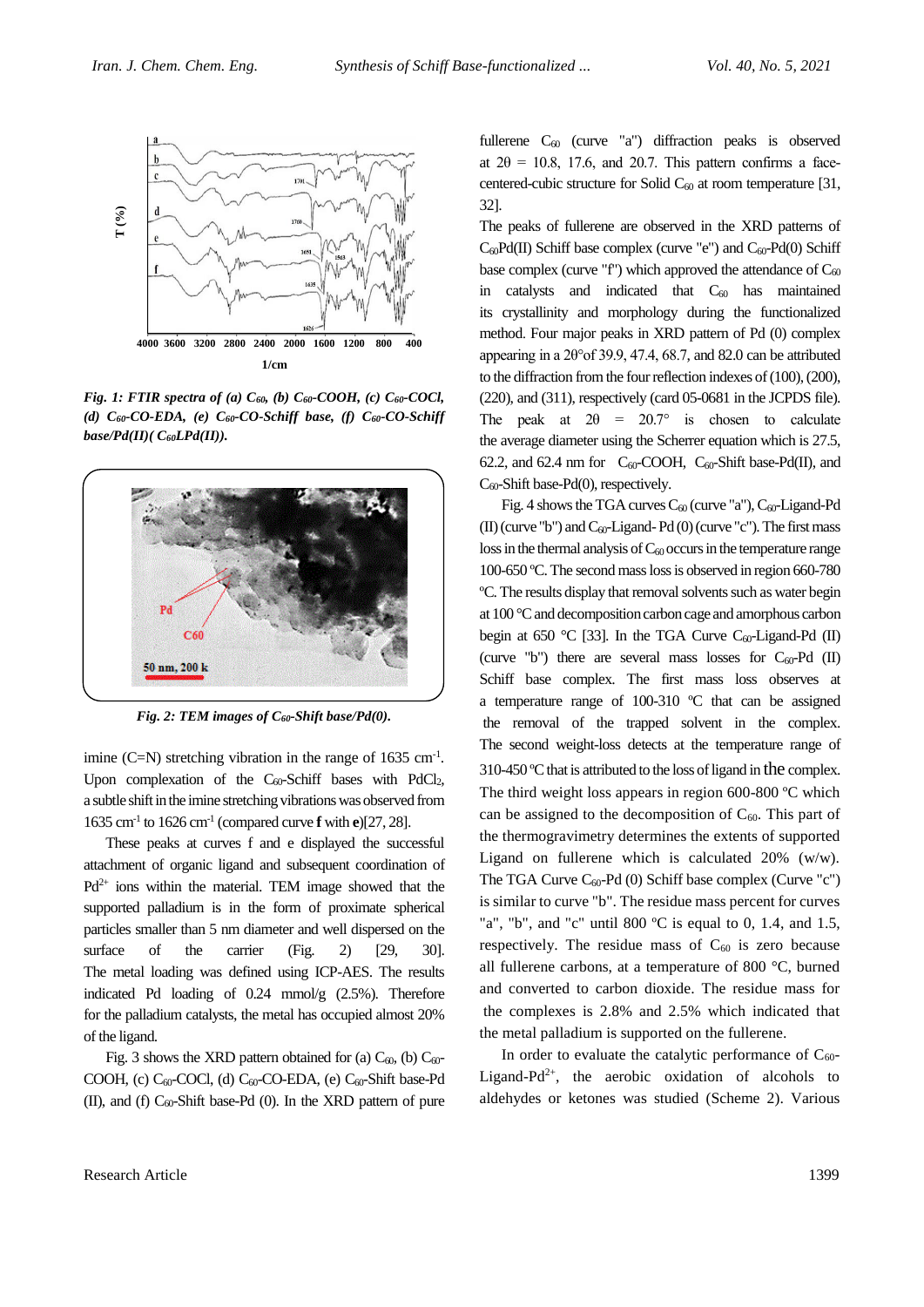

*Fig. 1: FTIR spectra of (a) C60, (b) C60-COOH, (c) C60-COCl, (d) C60-CO-EDA, (e) C60-CO-Schiff base, (f) C60-CO-Schiff base/Pd(II)( C60LPd(II)).*



*Fig. 2: TEM images of C60-Shift base/Pd(0).*

imine  $(C=N)$  stretching vibration in the range of 1635 cm<sup>-1</sup>. Upon complexation of the  $C_{60}$ -Schiff bases with PdCl<sub>2</sub>, a subtle shift in the imine stretching vibrations was observed from 1635 cm-1 to 1626 cm-1 (compared curve **f** with **e**)[27, 28].

These peaks at curves f and e displayed the successful attachment of organic ligand and subsequent coordination of  $Pd^{2+}$  ions within the material. TEM image showed that the supported palladium is in the form of proximate spherical particles smaller than 5 nm diameter and well dispersed on the surface of the carrier (Fig. 2) [29, 30]. The metal loading was defined using ICP-AES. The results indicated Pd loading of 0.24 mmol/g (2.5%). Therefore for the palladium catalysts, the metal has occupied almost 20% of the ligand.

Fig. 3 shows the XRD pattern obtained for (a)  $C_{60}$ , (b)  $C_{60}$ -COOH, (c)  $C_{60}$ -COCl, (d)  $C_{60}$ -CO-EDA, (e)  $C_{60}$ -Shift base-Pd (II), and (f)  $C_{60}$ -Shift base-Pd (0). In the XRD pattern of pure

fullerene  $C_{60}$  (curve "a") diffraction peaks is observed at  $2\theta = 10.8$ , 17.6, and 20.7. This pattern confirms a facecentered-cubic structure for Solid  $C_{60}$  at room temperature [31, 32].

The peaks of fullerene are observed in the XRD patterns of  $C_{60}Pd(\Pi)$  Schiff base complex (curve "e") and  $C_{60}Pd(0)$  Schiff base complex (curve "f") which approved the attendance of  $C_{60}$ in catalysts and indicated that  $C_{60}$  has maintained its crystallinity and morphology during the functionalized method*.* Four major peaks in XRD pattern of Pd (0) complex appearing in a 2θ°of 39.9, 47.4, 68.7, and 82.0 can be attributed to the diffraction from the four reflection indexes of (100), (200), (220), and (311), respectively (card 05-0681 in the JCPDS file). The peak at  $2\theta = 20.7^\circ$  is chosen to calculate the average diameter using the Scherrer equation which is 27.5, 62.2, and 62.4 nm for  $C_{60}$ -COOH,  $C_{60}$ -Shift base-Pd(II), and  $C_{60}$ -Shift base-Pd(0), respectively.

Fig. 4 shows the TGA curves  $C_{60}$  (curve "a"),  $C_{60}$ -Ligand-Pd (II) (curve "b") and  $C_{60}$ -Ligand-Pd (0) (curve "c"). The first mass loss in the thermal analysis of  $C_{60}$  occurs in the temperature range 100-650 ºC. The second mass loss is observed in region 660-780 <sup>o</sup>C. The results display that removal solvents such as water begin at 100 °C and decomposition carbon cage and amorphous carbon begin at 650 °C [33]. In the TGA Curve  $C_{60}$ -Ligand-Pd (II) (curve "b") there are several mass losses for  $C_{60}$ -Pd (II) Schiff base complex. The first mass loss observes at a temperature range of 100-310 ºC that can be assigned the removal of the trapped solvent in the complex. The second weight-loss detects at the temperature range of 310-450 ºC that is attributed to the loss of ligand in the complex. The third weight loss appears in region 600-800 °C which can be assigned to the decomposition of  $C_{60}$ . This part of the thermogravimetry determines the extents of supported Ligand on fullerene which is calculated 20% (w/w). The TGA Curve  $C_{60}$ -Pd (0) Schiff base complex (Curve "c") is similar to curve "b". The residue mass percent for curves "a", "b", and "c" until 800 ºC is equal to 0, 1.4, and 1.5, respectively. The residue mass of  $C_{60}$  is zero because all fullerene carbons, at a temperature of 800 °C, burned and converted to carbon dioxide. The residue mass for the complexes is 2.8% and 2.5% which indicated that the metal palladium is supported on the fullerene.

In order to evaluate the catalytic performance of  $C_{60}$ -Ligand-Pd<sup>2+</sup>, the aerobic oxidation of alcohols to aldehydes or ketones was studied (Scheme 2). Various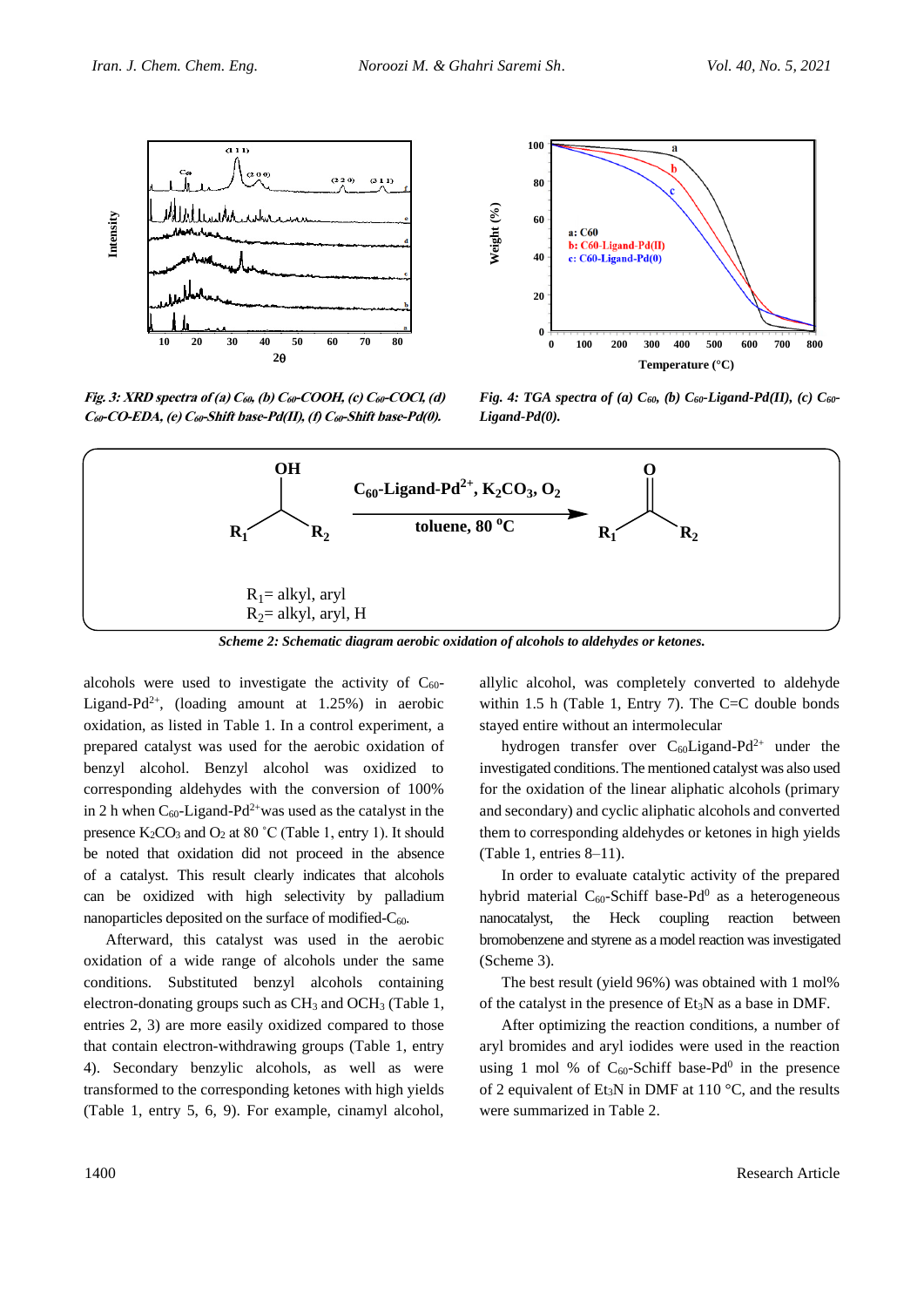

**Fig. 3: XRD spectra of (a) C60, (b) C60-COOH, (c) C60-COCl, (d) C60-CO-EDA, (e) C60-Shift base-Pd(II), (f) C60-Shift base-Pd(0).**



*Fig. 4: TGA spectra of (a) C60, (b) C60-Ligand-Pd(II), (c) C60- Ligand-Pd(0).*



*Scheme 2: Schematic diagram aerobic oxidation of alcohols to aldehydes or ketones.*

alcohols were used to investigate the activity of  $C_{60}$ -Ligand-Pd<sup>2+</sup>, (loading amount at 1.25%) in aerobic oxidation, as listed in Table 1. In a control experiment, a prepared catalyst was used for the aerobic oxidation of benzyl alcohol. Benzyl alcohol was oxidized to corresponding aldehydes with the conversion of 100% in 2 h when  $C_{60}$ -Ligand-Pd<sup>2+</sup>was used as the catalyst in the presence  $K_2CO_3$  and  $O_2$  at 80 °C (Table 1, entry 1). It should be noted that oxidation did not proceed in the absence of a catalyst. This result clearly indicates that alcohols can be oxidized with high selectivity by palladium nanoparticles deposited on the surface of modified- $C_{60}$ .

Afterward, this catalyst was used in the aerobic oxidation of a wide range of alcohols under the same conditions. Substituted benzyl alcohols containing electron-donating groups such as  $CH<sub>3</sub>$  and  $OCH<sub>3</sub>$  (Table 1, entries 2, 3) are more easily oxidized compared to those that contain electron-withdrawing groups (Table 1, entry 4). Secondary benzylic alcohols, as well as were transformed to the corresponding ketones with high yields (Table 1, entry 5, 6, 9). For example, cinamyl alcohol,

allylic alcohol, was completely converted to aldehyde within 1.5 h (Table 1, Entry 7). The C=C double bonds stayed entire without an intermolecular

hydrogen transfer over  $C_{60}$ Ligand-Pd<sup>2+</sup> under the investigated conditions. The mentioned catalyst was also used for the oxidation of the linear aliphatic alcohols (primary and secondary) and cyclic aliphatic alcohols and converted them to corresponding aldehydes or ketones in high yields (Table 1, entries 8–11).

In order to evaluate catalytic activity of the prepared hybrid material  $C_{60}$ -Schiff base-Pd<sup>0</sup> as a heterogeneous nanocatalyst, the Heck coupling reaction between bromobenzene and styrene as a model reaction was investigated (Scheme 3).

The best result (yield 96%) was obtained with 1 mol% of the catalyst in the presence of Et3N as a base in DMF.

After optimizing the reaction conditions, a number of aryl bromides and aryl iodides were used in the reaction using 1 mol % of  $C_{60}$ -Schiff base-Pd<sup>0</sup> in the presence of 2 equivalent of Et<sub>3</sub>N in DMF at 110  $^{\circ}$ C, and the results were summarized in Table 2.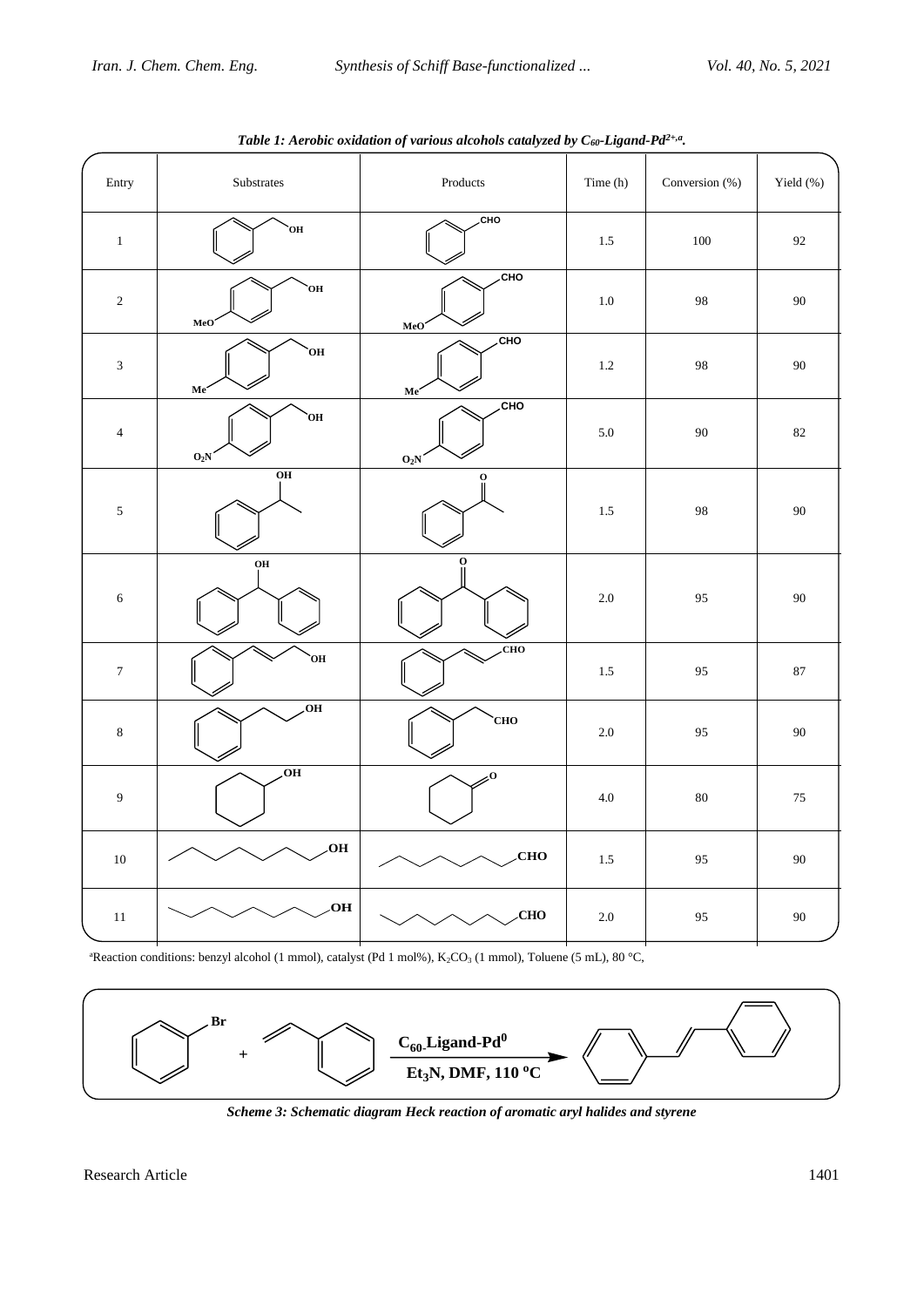| Entry            | Substrates             | $\mathop{\text{\rm Products}}$ | Time (h) | Conversion (%) | Yield (%) |
|------------------|------------------------|--------------------------------|----------|----------------|-----------|
| $\,1\,$          | HO'                    | CHO                            | $1.5\,$  | 100            | 92        |
| $\sqrt{2}$       | Ю́<br>MeO <sup>*</sup> | <b>CHO</b><br>MeO <sup>*</sup> | $1.0\,$  | $\bf{98}$      | $90\,$    |
| $\sqrt{3}$       | `ОН<br>Me <sup>-</sup> | <b>CHO</b><br>Me <sup>-</sup>  | $1.2\,$  | $\bf{98}$      | $90\,$    |
| $\sqrt{4}$       | `OH<br>$O_2N$          | <b>CHO</b><br>O <sub>2</sub> N | $5.0\,$  | $90\,$         | $82\,$    |
| $\sqrt{5}$       | $\dot{\text{o}}$ H     | $\frac{0}{\parallel}$          | $1.5\,$  | $\bf{98}$      | $90\,$    |
| $\sqrt{6}$       | $\dot{\mathbf{O}}$ H   | $\overline{0}$                 | $2.0\,$  | 95             | $90\,$    |
| $\boldsymbol{7}$ | Ю́                     | <b>CHO</b>                     | $1.5\,$  | 95             | $87\,$    |
| $\,8\,$          | HO.                    | сно                            | $2.0\,$  | 95             | $90\,$    |
| $\boldsymbol{9}$ | $\overline{10}$        | Ō.                             | $4.0\,$  | $80\,$         | $75\,$    |
| $10\,$           | <b>OH</b>              | <b>CHO</b>                     | $1.5\,$  | 95             | $90\,$    |
| $11\,$           | OH                     | <b>CHO</b>                     | $2.0\,$  | 95             | $90\,$    |

*Table 1: Aerobic oxidation of various alcohols catalyzed by C60-Ligand-Pd2+,a .*

<sup>a</sup>Reaction conditions: benzyl alcohol (1 mmol), catalyst (Pd 1 mol%),  $K_2CO_3$  (1 mmol), Toluene (5 mL), 80 °C,



*Scheme 3: Schematic diagram Heck reaction of aromatic aryl halides and styrene*

Research Article 1401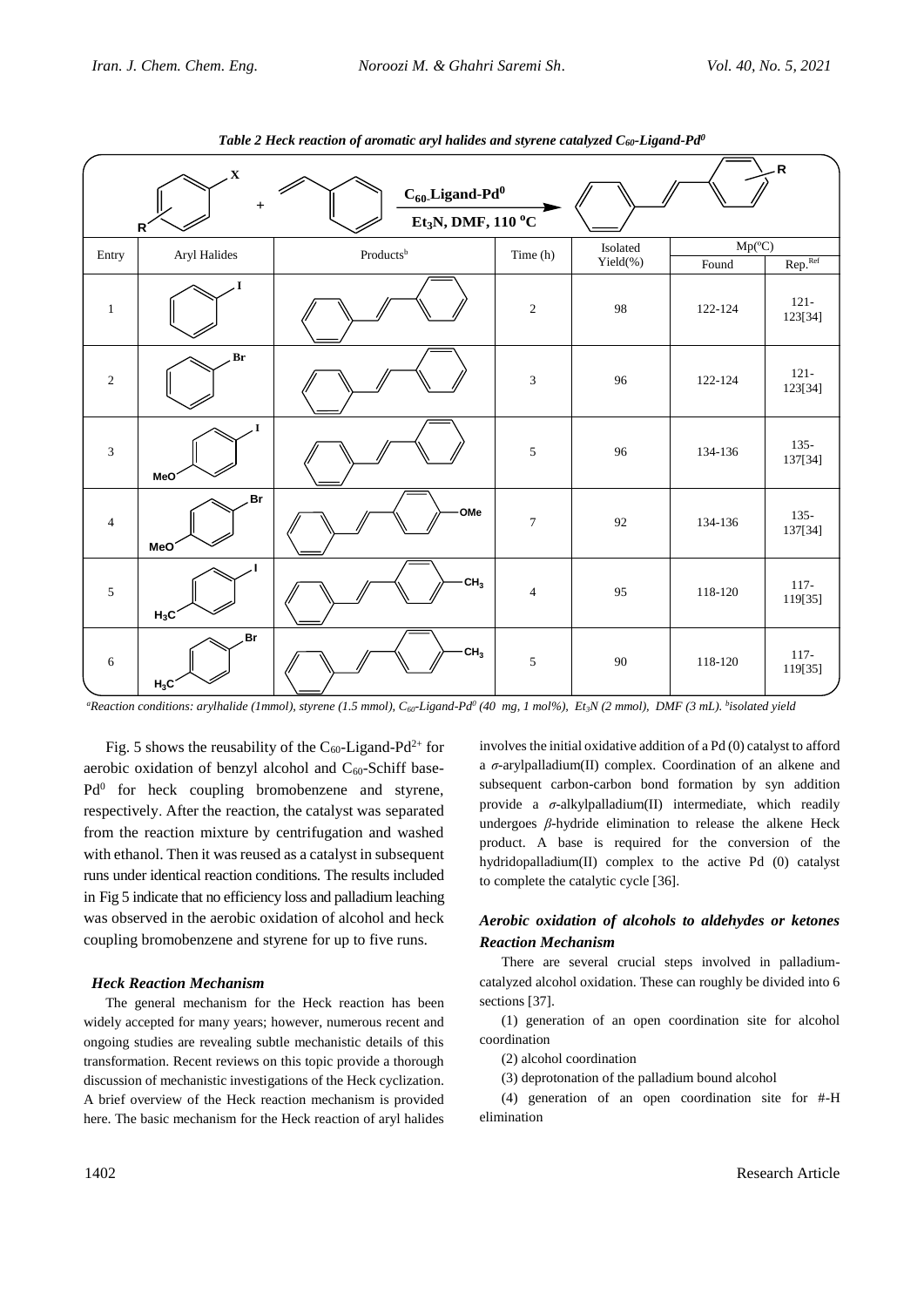| -R<br>$\mathbf{X}$<br>$C_{60}$ . Ligand-Pd $^0$<br>$\ddot{}$<br>Et <sub>3</sub> N, DMF, 110 $\,^{\circ}$ C<br>R |                         |                                  |                  |                                                  |         |                    |  |  |  |
|-----------------------------------------------------------------------------------------------------------------|-------------------------|----------------------------------|------------------|--------------------------------------------------|---------|--------------------|--|--|--|
| Entry                                                                                                           | Aryl Halides            | $\mathbf{Products}^{\mathsf{b}}$ | Time (h)         | $Mp(^{\circ}C)$<br>Isolated<br>Yield(%)<br>Found |         | Rep. Ref           |  |  |  |
| $\mathbf{1}$                                                                                                    |                         |                                  | $\sqrt{2}$       | 98                                               | 122-124 | $121 -$<br>123[34] |  |  |  |
| $\boldsymbol{2}$                                                                                                | Br.                     |                                  | $\mathfrak{Z}$   | 96                                               | 122-124 | $121 -$<br>123[34] |  |  |  |
| 3                                                                                                               | I<br>MeO <sup>'</sup>   |                                  | 5                | 96                                               | 134-136 | $135 -$<br>137[34] |  |  |  |
| $\overline{4}$                                                                                                  | .Br<br>MeO <sup>®</sup> | OMe                              | $\boldsymbol{7}$ | 92                                               | 134-136 | $135 -$<br>137[34] |  |  |  |
| 5                                                                                                               | $H_3C$                  | CH <sub>3</sub>                  | $\overline{4}$   | 95                                               | 118-120 | $117 -$<br>119[35] |  |  |  |
| 6                                                                                                               | Br<br>$H_3C$            | CH <sub>3</sub>                  | $\sqrt{5}$       | 90                                               | 118-120 | $117 -$<br>119[35] |  |  |  |

| Table 2 Heck reaction of aromatic aryl halides and styrene catalyzed $C_{60}$ -Ligand-Pd $^{0}$ |  |  |  |  |
|-------------------------------------------------------------------------------------------------|--|--|--|--|
|-------------------------------------------------------------------------------------------------|--|--|--|--|

Fig. 5 shows the reusability of the  $C_{60}$ -Ligand-Pd<sup>2+</sup> for aerobic oxidation of benzyl alcohol and  $C_{60}$ -Schiff base-Pd<sup>0</sup> for heck coupling bromobenzene and styrene, respectively*.* After the reaction, the catalyst was separated from the reaction mixture by centrifugation and washed with ethanol. Then it was reused as a catalyst in subsequent runs under identical reaction conditions. The results included in Fig 5 indicate that no efficiency loss and palladium leaching was observed in the aerobic oxidation of alcohol and heck coupling bromobenzene and styrene for up to five runs.

## *Heck Reaction Mechanism*

The general mechanism for the Heck reaction has been widely accepted for many years; however, numerous recent and ongoing studies are revealing subtle mechanistic details of this transformation. Recent reviews on this topic provide a thorough discussion of mechanistic investigations of the Heck cyclization. A brief overview of the Heck reaction mechanism is provided here. The basic mechanism for the Heck reaction of aryl halides involves the initial oxidative addition of a Pd (0) catalyst to afford a *σ*-arylpalladium(II) complex. Coordination of an alkene and subsequent carbon-carbon bond formation by syn addition provide a *σ*-alkylpalladium(II) intermediate, which readily undergoes *β*-hydride elimination to release the alkene Heck product. A base is required for the conversion of the hydridopalladium(II) complex to the active Pd (0) catalyst to complete the catalytic cycle [36].

# *Aerobic oxidation of alcohols to aldehydes or ketones Reaction Mechanism*

There are several crucial steps involved in palladiumcatalyzed alcohol oxidation. These can roughly be divided into 6 sections [37].

(1) generation of an open coordination site for alcohol coordination

(2) alcohol coordination

(3) deprotonation of the palladium bound alcohol

(4) generation of an open coordination site for #-H elimination

*<sup>a</sup>Reaction conditions: arylhalide (1mmol), styrene (1.5 mmol), C60-Ligand-Pd<sup>0</sup> (40 mg, 1 mol%), Et3N (2 mmol), DMF (3 mL). <sup>b</sup> isolated yield*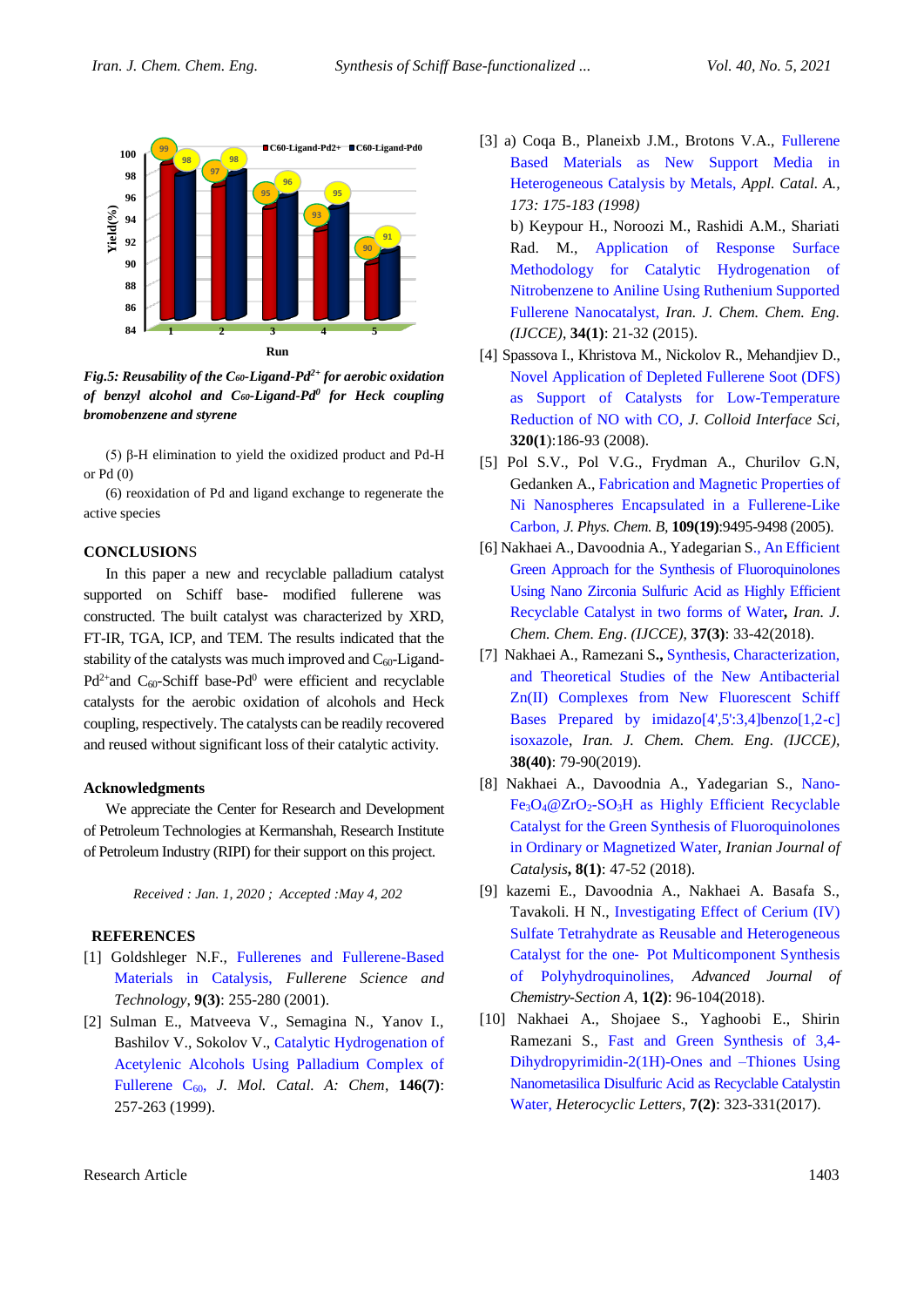

*Fig.5: Reusability of the C60-Ligand-Pd2+ for aerobic oxidation of benzyl alcohol and C60-Ligand-Pd<sup>0</sup> for Heck coupling bromobenzene and styrene*

(5) β-H elimination to yield the oxidized product and Pd-H or Pd (0)

(6) reoxidation of Pd and ligand exchange to regenerate the active species

## **CONCLUSION**S

In this paper a new and recyclable palladium catalyst supported on Schiff base- modified fullerene was constructed*.* The built catalyst was characterized by XRD, FT-IR, TGA, ICP, and TEM. The results indicated that the stability of the catalysts was much improved and  $C_{60}$ -Ligand- $Pd^{2+}$ and  $C_{60}$ -Schiff base- $Pd^{0}$  were efficient and recyclable catalysts for the aerobic oxidation of alcohols and Heck coupling, respectively. The catalysts can be readily recovered and reused without significant loss of their catalytic activity.

#### **Acknowledgments**

We appreciate the Center for Research and Development of Petroleum Technologies at Kermanshah, Research Institute of Petroleum Industry (RIPI) for their support on this project.

*Received : Jan. 1, 2020 ; Accepted :May 4, 202*

#### **REFERENCES**

- [1] Goldshleger N.F., [Fullerenes and Fullerene-Based](https://doi.org/10.1081/FST-100104493)  [Materials in Catalysis,](https://doi.org/10.1081/FST-100104493) *Fullerene Science and Technology*, **9(3)**: 255-280 (2001).
- [2] Sulman E., Matveeva V., Semagina N., Yanov I., Bashilov V., Sokolov V., [Catalytic Hydrogenation of](https://www.ingentaconnect.com/content/el/13811169/1999/00000146/00000001/art00027;jsessionid=oor5quhlc39u.x-ic-live-03)  [Acetylenic Alcohols Using Palladium Complex of](https://www.ingentaconnect.com/content/el/13811169/1999/00000146/00000001/art00027;jsessionid=oor5quhlc39u.x-ic-live-03)  [Fullerene C](https://www.ingentaconnect.com/content/el/13811169/1999/00000146/00000001/art00027;jsessionid=oor5quhlc39u.x-ic-live-03)60, *J. Mol. Catal. A: Chem*, **146(7)**: 257-263 (1999).

[3] a) Coqa B., Planeixb J.M., Brotons V.A., [Fullerene](http://pascal-francis.inist.fr/vibad/index.php?action=getRecordDetail&idt=1651045)  [Based Materials as New Support Media in](http://pascal-francis.inist.fr/vibad/index.php?action=getRecordDetail&idt=1651045)  [Heterogeneous Catalysis by Metals,](http://pascal-francis.inist.fr/vibad/index.php?action=getRecordDetail&idt=1651045) *Appl. Catal. A., 173: 175-183 (1998)*

 b) Keypour H., Noroozi M., Rashidi A.M., Shariati Rad. M., [Application of Response Surface](http://www.ijcce.ac.ir/article_12677.html)  [Methodology for Catalytic Hydrogenation of](http://www.ijcce.ac.ir/article_12677.html)  [Nitrobenzene to Aniline Using Ruthenium Supported](http://www.ijcce.ac.ir/article_12677.html)  [Fullerene Nanocatalyst,](http://www.ijcce.ac.ir/article_12677.html) *Iran. J. Chem. Chem. Eng. (IJCCE)*, **34(1)**: 21-32 (2015).

- [4] [Spassova I.](https://www.ncbi.nlm.nih.gov/pubmed/?term=Spassova%20I%5BAuthor%5D&cauthor=true&cauthor_uid=18199447)[, Khristova M.,](https://www.ncbi.nlm.nih.gov/pubmed/?term=Khristova%20M%5BAuthor%5D&cauthor=true&cauthor_uid=18199447) [Nickolov R.](https://www.ncbi.nlm.nih.gov/pubmed/?term=Nickolov%20R%5BAuthor%5D&cauthor=true&cauthor_uid=18199447), [Mehandjiev D.](https://www.ncbi.nlm.nih.gov/pubmed/?term=Mehandjiev%20D%5BAuthor%5D&cauthor=true&cauthor_uid=18199447), [Novel Application of Depleted Fullerene Soot \(DFS\)](https://www.ncbi.nlm.nih.gov/pubmed/18199447)  [as Support of Catalysts for Low-Temperature](https://www.ncbi.nlm.nih.gov/pubmed/18199447)  [Reduction of NO with CO,](https://www.ncbi.nlm.nih.gov/pubmed/18199447) *J. Colloid Interface Sci,* **320(1**):186-93 (2008).
- [5] Pol S.V., Pol V.G., Frydman A., Churilov G.N, Gedanken A., [Fabrication and Magnetic Properties of](https://www.ncbi.nlm.nih.gov/pubmed/16852141)  [Ni Nanospheres Encapsulated in a](https://www.ncbi.nlm.nih.gov/pubmed/16852141) Fullerene-Like [Carbon,](https://www.ncbi.nlm.nih.gov/pubmed/16852141) *J. Phys. Chem. B,* **109(19)**:9495-9498 (2005).
- [6] Nakhaei A., Davoodnia A., Yadegarian S., [An Efficient](http://www.ijcce.ac.ir/article_27405.html)  [Green Approach for the Synthesis of Fluoroquinolones](http://www.ijcce.ac.ir/article_27405.html)  [Using Nano Zirconia Sulfuric Acid as Highly Efficient](http://www.ijcce.ac.ir/article_27405.html) [Recyclable Catalyst in two forms of Water](http://www.ijcce.ac.ir/article_27405.html)*, Iran. J. Chem. Chem. Eng*. *(IJCCE)*, **37(3)**: 33-42(2018).
- [7] [Nakhaei](http://www.ijcce.ac.ir/?_action=article&au=161382&_au=Ahmad++Nakhaei) A., [Ramezani](http://www.ijcce.ac.ir/?_action=article&au=223876&_au=Shirin++Ramezani) S**.,** [Synthesis, Characterization,](http://www.ijcce.ac.ir/article_31989.html)  [and Theoretical Studies of the New Antibacterial](http://www.ijcce.ac.ir/article_31989.html)  [Zn\(II\) Complexes from New Fluorescent Schiff](http://www.ijcce.ac.ir/article_31989.html)  [Bases Prepared by imidazo\[4',5':3,4\]benzo\[1,2-c\]](http://www.ijcce.ac.ir/article_31989.html) [isoxazole,](http://www.ijcce.ac.ir/article_31989.html) *Iran. J. Chem. Chem. Eng. (IJCCE),* **38(40)**: 79-90(2019).
- [8] Nakhaei A., Davoodnia A., Yadegarian S., [Nano-](https://iranjournals.nlai.ir/1293/article_341480.html)Fe<sub>3</sub>O<sub>4</sub>@ZrO<sub>2</sub>-SO<sub>3</sub>H as Highly Efficient Recyclable [Catalyst for the Green Synthesis of Fluoroquinolones](https://iranjournals.nlai.ir/1293/article_341480.html)  [in Ordinary or Magnetized Water](https://iranjournals.nlai.ir/1293/article_341480.html)*, Iranian Journal of Catalysis***, 8(1)**: 47-52 (2018).
- [9] kazemi E., Davoodnia A., Nakhaei A. Basafa S., Tavakoli. H N., [Investigating Effect of Cerium \(IV\)](http://www.ajchem-a.com/article_80552.html)  [Sulfate Tetrahydrate as Reusable and Heterogeneous](http://www.ajchem-a.com/article_80552.html)  Catalyst for the one‐ [Pot Multicomponent Synthesis](http://www.ajchem-a.com/article_80552.html)  [of Polyhydroquinolines,](http://www.ajchem-a.com/article_80552.html) *Advanced Journal of Chemistry-Section A*, **1(2)**: 96-104(2018).
- [10] Nakhaei A., Shojaee S., Yaghoobi E., Shirin Ramezani S., [Fast and Green Synthesis of 3,4-](https://www.heteroletters.org/issue27/PDF/Paper-9.pdf) [Dihydropyrimidin-2\(1H\)-Ones and –Thiones Using](https://www.heteroletters.org/issue27/PDF/Paper-9.pdf)  [Nanometasilica Disulfuric Acid as Recyclable Catalystin](https://www.heteroletters.org/issue27/PDF/Paper-9.pdf)  [Water,](https://www.heteroletters.org/issue27/PDF/Paper-9.pdf) *Heterocyclic Letters*, **7(2)**: 323-331(2017).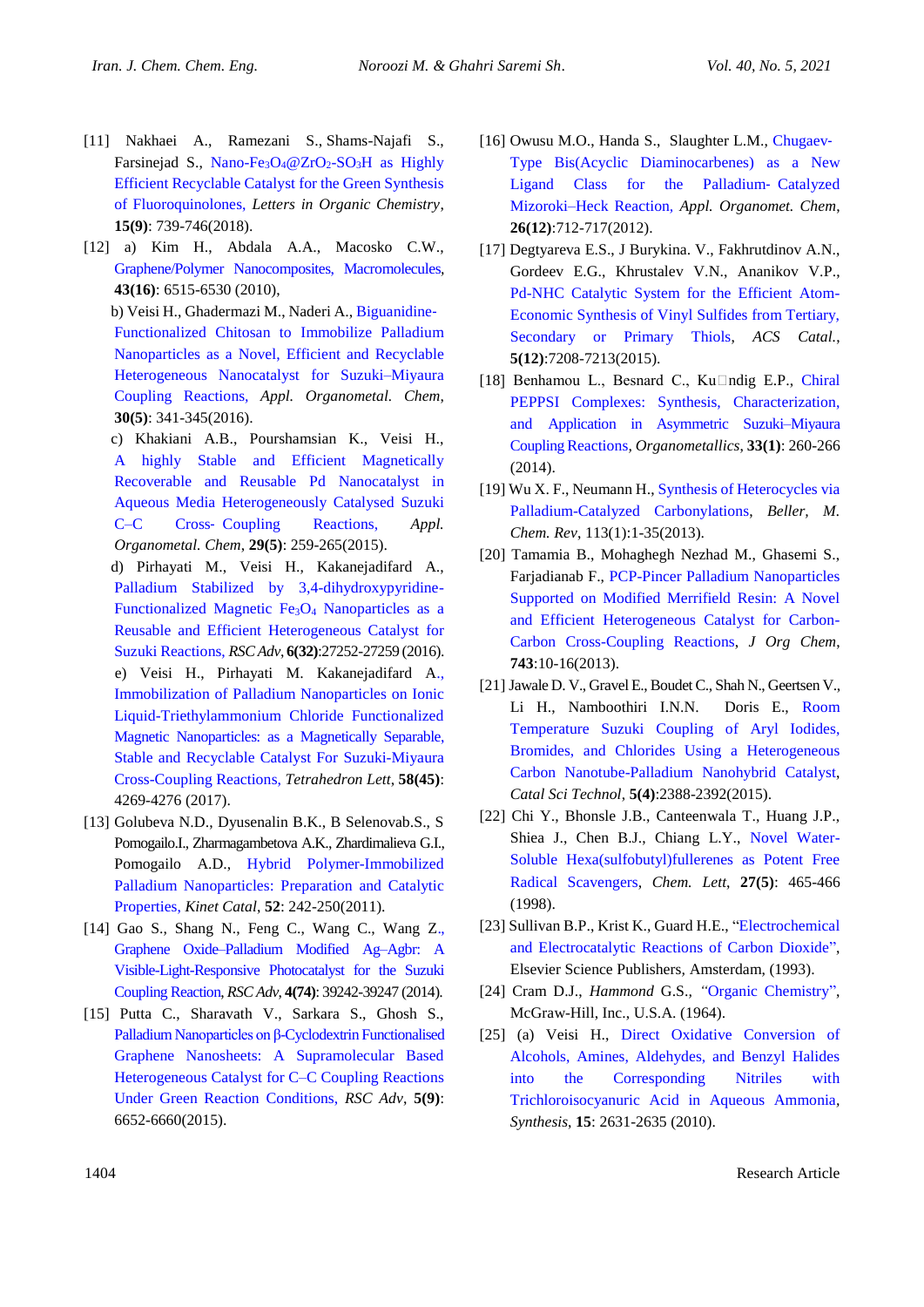- [11] [Nakhaei A.](https://www.ingentaconnect.com/search;jsessionid=h7bgdi85c6orf.x-ic-live-03?option2=author&value2=Nakhaei,+Ahmad), [Ramezani S.,](https://www.ingentaconnect.com/search;jsessionid=h7bgdi85c6orf.x-ic-live-03?option2=author&value2=Ramezani,+Shirin) [Shams-Najafi S.,](https://www.ingentaconnect.com/search;jsessionid=h7bgdi85c6orf.x-ic-live-03?option2=author&value2=Shams-Najafi,+Sayyed+J.)  [Farsinejad S., N](https://www.ingentaconnect.com/search;jsessionid=h7bgdi85c6orf.x-ic-live-03?option2=author&value2=Farsinejad,+Sadaf)ano-Fe<sub>3</sub>O<sub>4</sub>@ZrO<sub>2</sub>-SO<sub>3</sub>H as Highly [Efficient Recyclable Catalyst for the Green Synthesis](https://doi.org/10.2174/1570178615666171226162735)  [of Fluoroquinolones,](https://doi.org/10.2174/1570178615666171226162735) *Letters in Organic Chemistry*, **15(9)**: 739-746(2018).
- [12] a) Kim H., Abdala A.A., Macosko C.W., [Graphene/Polymer Nanocomposites, Macromolecules](https://pubs.acs.org/doi/pdf/10.1021/ma100572e)*,* **43(16)**: 6515-6530 (2010),

 b) Veisi H., Ghadermazi M., Naderi A.[, Biguanidine](https://onlinelibrary.wiley.com/doi/10.1002/aoc.3437)‐ [Functionalized Chitosan to Immobilize Palladium](https://onlinelibrary.wiley.com/doi/10.1002/aoc.3437)  Nanoparticles as a [Novel, Efficient and Recyclable](https://onlinelibrary.wiley.com/doi/10.1002/aoc.3437)  [Heterogeneous Nanocatalyst for Suzuki–Miyaura](https://onlinelibrary.wiley.com/doi/10.1002/aoc.3437)  [Coupling Reactions](https://onlinelibrary.wiley.com/doi/10.1002/aoc.3437)*, Appl. Organometal. Chem*, **30(5)**: 341-345(2016).

- c) Khakiani A.B., Pourshamsian K., Veisi H., [A highly Stable and Efficient Magnetically](https://onlinelibrary.wiley.com/doi/abs/10.1002/aoc.3282)  [Recoverable and Reusable Pd Nanocatalyst in](https://onlinelibrary.wiley.com/doi/abs/10.1002/aoc.3282)  [Aqueous Media Heterogeneously Catalysed Suzuki](https://onlinelibrary.wiley.com/doi/abs/10.1002/aoc.3282)  C–C Cross‐ [Coupling Reactions,](https://onlinelibrary.wiley.com/doi/abs/10.1002/aoc.3282) *Appl. Organometal. Chem*, **29(5)**: 259-265(2015).
- d) Pirhayati M., Veisi H., Kakanejadifard A., [Palladium Stabilized by 3,4-dihydroxypyridine-](https://pubs.rsc.org/en/content/articlelanding/2016/ra/c6ra01734g#!divAbstract)[Functionalized Magnetic Fe](https://pubs.rsc.org/en/content/articlelanding/2016/ra/c6ra01734g#!divAbstract)3O<sup>4</sup> Nanoparticles as a [Reusable and Efficient Heterogeneous Catalyst for](https://pubs.rsc.org/en/content/articlelanding/2016/ra/c6ra01734g#!divAbstract)  [Suzuki Reactions,](https://pubs.rsc.org/en/content/articlelanding/2016/ra/c6ra01734g#!divAbstract) *RSC Adv*, **6(32)**:27252-27259 (2016). e) Veisi H., Pirhayati M. Kakanejadifard [A.,](https://doi.org/10.1016/j.tetlet.2017.09.078)  [Immobilization of Palladium Nanoparticles on Ionic](https://doi.org/10.1016/j.tetlet.2017.09.078)  [Liquid-Triethylammonium Chloride Functionalized](https://doi.org/10.1016/j.tetlet.2017.09.078)  [Magnetic Nanoparticles: as a Magnetically Separable,](https://doi.org/10.1016/j.tetlet.2017.09.078) [Stable and Recyclable Catalyst For Suzuki-Miyaura](https://doi.org/10.1016/j.tetlet.2017.09.078)  [Cross-Coupling Reactions,](https://doi.org/10.1016/j.tetlet.2017.09.078) *Tetrahedron Lett*, **58(45)**: 4269-4276 (2017).
- [13] Golubeva N.D., Dyusenalin B.K., B Selenovab.S., S Pomogailo.I., Zharmagambetova A.K., Zhardimalieva G.I., Pomogailo A.D., [Hybrid Polymer-Immobilized](https://link.springer.com/article/10.1134/S0023158411020078)  [Palladium Nanoparticles: Preparation and Catalytic](https://link.springer.com/article/10.1134/S0023158411020078)  [Properties,](https://link.springer.com/article/10.1134/S0023158411020078) *Kinet Catal*, **52**: 242-250(2011).
- [14] Gao S., Shang N., Feng C., Wang C., Wang [Z.,](https://pubs.rsc.org/en/content/articlelanding/2014/ra/c4ra05988c/unauth#!divAbstract)  [Graphene Oxide–Palladium Modified Ag–Agbr: A](https://pubs.rsc.org/en/content/articlelanding/2014/ra/c4ra05988c/unauth#!divAbstract)  [Visible-Light-Responsive Photocatalyst for the Suzuki](https://pubs.rsc.org/en/content/articlelanding/2014/ra/c4ra05988c/unauth#!divAbstract)  [Coupling Reaction,](https://pubs.rsc.org/en/content/articlelanding/2014/ra/c4ra05988c/unauth#!divAbstract) *RSC Adv*, **4(74)**: 39242-39247 (2014).
- [15] Putta C., Sharavath V., Sarkara S., Ghosh S., [Palladium Nanoparticles on β-Cyclodextrin Functionalised](https://pubs.rsc.org/en/content/articlelanding/2015/RA/c4ra14323j#!divAbstract) [Graphene Nanosheets: A Supramolecular Based](https://pubs.rsc.org/en/content/articlelanding/2015/RA/c4ra14323j#!divAbstract)  [Heterogeneous Catalyst for C–C Coupling Reactions](https://pubs.rsc.org/en/content/articlelanding/2015/RA/c4ra14323j#!divAbstract)  [Under Green Reaction Conditions,](https://pubs.rsc.org/en/content/articlelanding/2015/RA/c4ra14323j#!divAbstract) *RSC Adv*, **5(9)**: 6652-6660(2015).
- [16] Owusu M.O., Handa S., Slaughter L.M., [Chugaev](https://onlinelibrary.wiley.com/doi/abs/10.1002/aoc.2915)‐ [Type Bis\(Acyclic Diaminocarbenes\) as a](https://onlinelibrary.wiley.com/doi/abs/10.1002/aoc.2915) New [Ligand Class for the Palladium](https://onlinelibrary.wiley.com/doi/abs/10.1002/aoc.2915)‐ Catalyzed [Mizoroki–Heck Reaction](https://onlinelibrary.wiley.com/doi/abs/10.1002/aoc.2915)*, Appl. Organomet. Chem*, **26(12)**:712-717(2012).
- [17] Degtyareva E.S., J Burykina. V., Fakhrutdinov A.N., Gordeev E.G., Khrustalev V.N., Ananikov V.P., [Pd-NHC Catalytic System for the Efficient Atom-](https://pubs.acs.org/doi/pdf/10.1021/acscatal.5b01815)[Economic Synthesis of Vinyl Sulfides from Tertiary,](https://pubs.acs.org/doi/pdf/10.1021/acscatal.5b01815)  [Secondary or Primary Thiols,](https://pubs.acs.org/doi/pdf/10.1021/acscatal.5b01815) *ACS Catal.*, **5(12)**:7208-7213(2015).
- [18] Benhamou L., Besnard C., Ku $\Box$ ndig E.P., Chiral [PEPPSI Complexes: Synthesis, Characterization,](https://pubs.acs.org/doi/abs/10.1021/om4009982)  [and Application in Asymmetric Suzuki–Miyaura](https://pubs.acs.org/doi/abs/10.1021/om4009982)  [Coupling Reactions](https://pubs.acs.org/doi/abs/10.1021/om4009982)*, Organometallics*, **33(1)**: 260-266 (2014).
- [19] Wu X. F., Neumann H., [Synthesis of Heterocycles via](https://pubs.acs.org/doi/abs/10.1021/cr300100s)  [Palladium-Catalyzed Carbonylations,](https://pubs.acs.org/doi/abs/10.1021/cr300100s) *Beller, M. Chem. Rev*, 113(1):1-35(2013).
- [20] Tamamia B., Mohaghegh Nezhad M., Ghasemi S., Farjadianab F., [PCP-Pincer Palladium Nanoparticles](https://www.sciencedirect.com/science/article/pii/S0022328X13004300?via%3Dihub)  [Supported on Modified Merrifield Resin: A Novel](https://www.sciencedirect.com/science/article/pii/S0022328X13004300?via%3Dihub)  [and Efficient Heterogeneous Catalyst for Carbon-](https://www.sciencedirect.com/science/article/pii/S0022328X13004300?via%3Dihub)[Carbon Cross-Coupling Reactions,](https://www.sciencedirect.com/science/article/pii/S0022328X13004300?via%3Dihub) *J Org Chem*, **743**:10-16(2013).
- [21] Jawale D. V., Gravel E., Boudet C., Shah N., Geertsen V., Li H., Namboothiri I.N.N. Doris E., [Room](https://pubs.rsc.org/en/content/articlehtml/2015/cy/c4cy01680g)  [Temperature Suzuki Coupling of Aryl Iodides,](https://pubs.rsc.org/en/content/articlehtml/2015/cy/c4cy01680g)  [Bromides, and Chlorides Using a](https://pubs.rsc.org/en/content/articlehtml/2015/cy/c4cy01680g) Heterogeneous [Carbon Nanotube-Palladium Nanohybrid Catalyst,](https://pubs.rsc.org/en/content/articlehtml/2015/cy/c4cy01680g) *Catal Sci Technol*, **5(4)**:2388-2392(2015).
- [22] Chi Y., Bhonsle J.B., Canteenwala T., Huang J.P., Shiea J., Chen B.J., Chiang L.Y., [Novel Water-](https://www.journal.csj.jp/doi/10.1246/cl.1998.465)[Soluble Hexa\(sulfobutyl\)fullerenes as Potent Free](https://www.journal.csj.jp/doi/10.1246/cl.1998.465)  [Radical Scavengers,](https://www.journal.csj.jp/doi/10.1246/cl.1998.465) *Chem. Lett*, **27(5)**: 465-466 (1998).
- [23] Sullivan B.P., Krist K., Guard H.E., ["Electrochemical](https://www.elsevier.com/books/electrochemical-and-electrocatalytic-reactions-of-carbon-dioxide/sullivan/978-0-444-88316-2)  [and Electrocatalytic Reactions of Carbon Dioxide"](https://www.elsevier.com/books/electrochemical-and-electrocatalytic-reactions-of-carbon-dioxide/sullivan/978-0-444-88316-2), Elsevier Science Publishers*,* Amsterdam, (1993).
- [24] Cram D.J., *Hammond* G.S.*, "*[Organic Chemistry"](https://www.amazon.com/Organic-Chemistry-D-Hammond-Cram/dp/0070134286), McGraw-Hill, Inc., U.S.A. (1964).
- [25] (a) Veisi H., [Direct Oxidative Conversion of](https://www.thieme-connect.com/products/ejournals/html/10.1055/s-0029-1218827)  [Alcohols, Amines, Aldehydes, and Benzyl Halides](https://www.thieme-connect.com/products/ejournals/html/10.1055/s-0029-1218827)  [into the Corresponding Nitriles with](https://www.thieme-connect.com/products/ejournals/html/10.1055/s-0029-1218827)  [Trichloroisocyanuric Acid in Aqueous Ammonia](https://www.thieme-connect.com/products/ejournals/html/10.1055/s-0029-1218827)*, Synthesis*, **15**: 2631-2635 (2010).